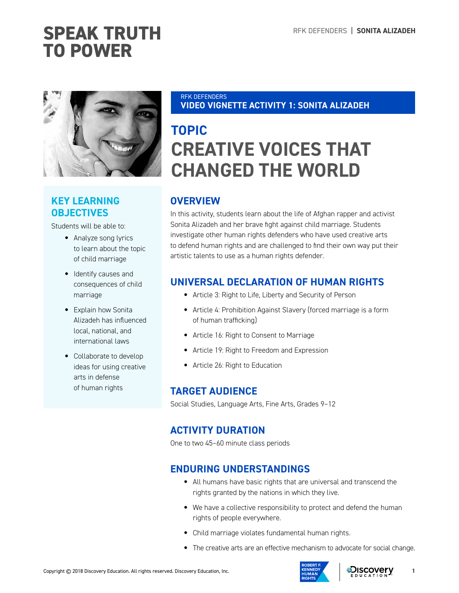

## **KEY LEARNING OBJECTIVES**

Students will be able to:

- Analyze song lyrics to learn about the topic of child marriage
- Identify causes and consequences of child marriage
- Explain how Sonita Alizadeh has influenced local, national, and international laws
- Collaborate to develop ideas for using creative arts in defense of human rights

#### RFK DEFENDERS **VIDEO VIGNETTE ACTIVITY 1: SONITA ALIZADEH**

## **TOPIC CREATIVE VOICES THAT CHANGED THE WORLD**

## **OVERVIEW**

In this activity, students learn about the life of Afghan rapper and activist Sonita Alizadeh and her brave fight against child marriage. Students investigate other human rights defenders who have used creative arts to defend human rights and are challenged to find their own way put their artistic talents to use as a human rights defender.

## **UNIVERSAL DECLARATION OF HUMAN RIGHTS**

- Article 3: Right to Life, Liberty and Security of Person
- Article 4: Prohibition Against Slavery (forced marriage is a form of human trafficking)
- Article 16: Right to Consent to Marriage
- Article 19: Right to Freedom and Expression
- Article 26: Right to Education

## **TARGET AUDIENCE**

Social Studies, Language Arts, Fine Arts, Grades 9–12

## **ACTIVITY DURATION**

One to two 45–60 minute class periods

## **ENDURING UNDERSTANDINGS**

- All humans have basic rights that are universal and transcend the rights granted by the nations in which they live.
- We have a collective responsibility to protect and defend the human rights of people everywhere.
- Child marriage violates fundamental human rights.
- The creative arts are an effective mechanism to advocate for social change.



**1**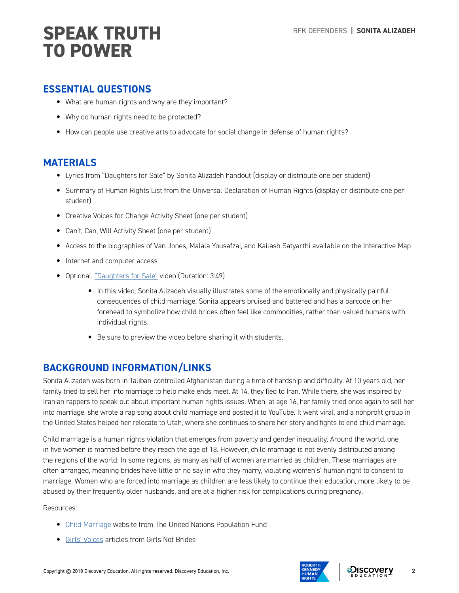## **ESSENTIAL QUESTIONS**

- What are human rights and why are they important?
- Why do human rights need to be protected?
- How can people use creative arts to advocate for social change in defense of human rights?

### **MATERIALS**

- Lyrics from "Daughters for Sale" by Sonita Alizadeh handout (display or distribute one per student)
- Summary of Human Rights List from the Universal Declaration of Human Rights (display or distribute one per student)
- Creative Voices for Change Activity Sheet (one per student)
- Can't, Can, Will Activity Sheet (one per student)
- Access to the biographies of Van Jones, Malala Yousafzai, and Kailash Satyarthi available on the Interactive Map
- Internet and computer access
- Optional: ["Daughters for Sale"](https://www.youtube.com/watch?v=n65w1DU8cGU) video (Duration: 3:49)
	- In this video, Sonita Alizadeh visually illustrates some of the emotionally and physically painful consequences of child marriage. Sonita appears bruised and battered and has a barcode on her forehead to symbolize how child brides often feel like commodities, rather than valued humans with individual rights.
	- Be sure to preview the video before sharing it with students.

## **BACKGROUND INFORMATION/LINKS**

Sonita Alizadeh was born in Taliban-controlled Afghanistan during a time of hardship and difficulty. At 10 years old, her family tried to sell her into marriage to help make ends meet. At 14, they fled to Iran. While there, she was inspired by Iranian rappers to speak out about important human rights issues. When, at age 16, her family tried once again to sell her into marriage, she wrote a rap song about child marriage and posted it to YouTube. It went viral, and a nonprofit group in the United States helped her relocate to Utah, where she continues to share her story and fights to end child marriage.

Child marriage is a human rights violation that emerges from poverty and gender inequality. Around the world, one in five women is married before they reach the age of 18. However, child marriage is not evenly distributed among the regions of the world. In some regions, as many as half of women are married as children. These marriages are often arranged, meaning brides have little or no say in who they marry, violating women's' human right to consent to marriage. Women who are forced into marriage as children are less likely to continue their education, more likely to be abused by their frequently older husbands, and are at a higher risk for complications during pregnancy.

Resources:

- [Child Marriage](https://www.unfpa.org/child-marriage) website from The United Nations Population Fund
- [Girls' Voices](https://www.girlsnotbrides.org/girls-voices/) articles from Girls Not Brides



**2**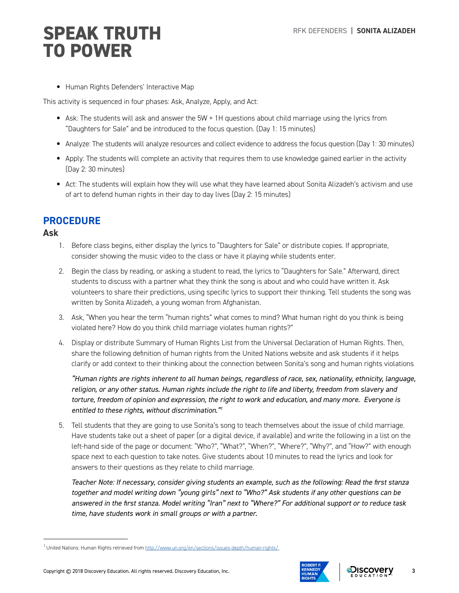• Human Rights Defenders' Interactive Map

This activity is sequenced in four phases: Ask, Analyze, Apply, and Act:

- Ask: The students will ask and answer the 5W + 1H questions about child marriage using the lyrics from "Daughters for Sale" and be introduced to the focus question. (Day 1: 15 minutes)
- Analyze: The students will analyze resources and collect evidence to address the focus question (Day 1: 30 minutes)
- Apply: The students will complete an activity that requires them to use knowledge gained earlier in the activity (Day 2: 30 minutes)
- Act: The students will explain how they will use what they have learned about Sonita Alizadeh's activism and use of art to defend human rights in their day to day lives (Day 2: 15 minutes)

## **PROCEDURE**

#### **Ask**

- 1. Before class begins, either display the lyrics to "Daughters for Sale" or distribute copies. If appropriate, consider showing the music video to the class or have it playing while students enter.
- 2. Begin the class by reading, or asking a student to read, the lyrics to "Daughters for Sale." Afterward, direct students to discuss with a partner what they think the song is about and who could have written it. Ask volunteers to share their predictions, using specific lyrics to support their thinking. Tell students the song was written by Sonita Alizadeh, a young woman from Afghanistan.
- 3. Ask, "When you hear the term "human rights" what comes to mind? What human right do you think is being violated here? How do you think child marriage violates human rights?"
- 4. Display or distribute Summary of Human Rights List from the Universal Declaration of Human Rights. Then, share the following definition of human rights from the United Nations website and ask students if it helps clarify or add context to their thinking about the connection between Sonita's song and human rights violations

*"Human rights are rights inherent to all human beings, regardless of race, sex, nationality, ethnicity, language, religion, or any other status. Human rights include the right to life and liberty, freedom from slavery and torture, freedom of opinion and expression, the right to work and education, and many more. Everyone is entitled to these rights, without discrimination."1* 

5. Tell students that they are going to use Sonita's song to teach themselves about the issue of child marriage. Have students take out a sheet of paper (or a digital device, if available) and write the following in a list on the left-hand side of the page or document: "Who?", "What?", "When?", "Where?", "Why?", and "How?" with enough space next to each question to take notes. Give students about 10 minutes to read the lyrics and look for answers to their questions as they relate to child marriage.

*Teacher Note: If necessary, consider giving students an example, such as the following: Read the first stanza together and model writing down "young girls" next to "Who?" Ask students if any other questions can be answered in the first stanza. Model writing "Iran" next to "Where?" For additional support or to reduce task time, have students work in small groups or with a partner.*

<sup>1</sup> United Nations: Human Rights retrieved from <http://www.un.org/en/sections/issues-depth/human-rights/>



**3**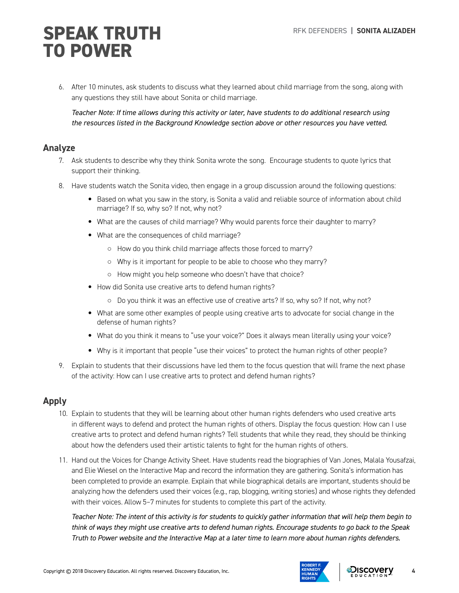6. After 10 minutes, ask students to discuss what they learned about child marriage from the song, along with any questions they still have about Sonita or child marriage.

*Teacher Note: If time allows during this activity or later, have students to do additional research using the resources listed in the Background Knowledge section above or other resources you have vetted.*

#### **Analyze**

- 7. Ask students to describe why they think Sonita wrote the song. Encourage students to quote lyrics that support their thinking.
- 8. Have students watch the Sonita video, then engage in a group discussion around the following questions:
	- Based on what you saw in the story, is Sonita a valid and reliable source of information about child marriage? If so, why so? If not, why not?
	- What are the causes of child marriage? Why would parents force their daughter to marry?
	- What are the consequences of child marriage?
		- How do you think child marriage affects those forced to marry?
		- Why is it important for people to be able to choose who they marry?
		- How might you help someone who doesn't have that choice?
	- How did Sonita use creative arts to defend human rights?
		- Do you think it was an effective use of creative arts? If so, why so? If not, why not?
	- What are some other examples of people using creative arts to advocate for social change in the defense of human rights?
	- What do you think it means to "use your voice?" Does it always mean literally using your voice?
	- Why is it important that people "use their voices" to protect the human rights of other people?
- 9. Explain to students that their discussions have led them to the focus question that will frame the next phase of the activity: How can I use creative arts to protect and defend human rights?

### **Apply**

- 10. Explain to students that they will be learning about other human rights defenders who used creative arts in different ways to defend and protect the human rights of others. Display the focus question: How can I use creative arts to protect and defend human rights? Tell students that while they read, they should be thinking about how the defenders used their artistic talents to fight for the human rights of others.
- 11. Hand out the Voices for Change Activity Sheet. Have students read the biographies of Van Jones, Malala Yousafzai, and Elie Wiesel on the Interactive Map and record the information they are gathering. Sonita's information has been completed to provide an example. Explain that while biographical details are important, students should be analyzing how the defenders used their voices (e.g., rap, blogging, writing stories) and whose rights they defended with their voices. Allow 5–7 minutes for students to complete this part of the activity.

*Teacher Note: The intent of this activity is for students to quickly gather information that will help them begin to think of ways they might use creative arts to defend human rights. Encourage students to go back to the Speak Truth to Power website and the Interactive Map at a later time to learn more about human rights defenders.*



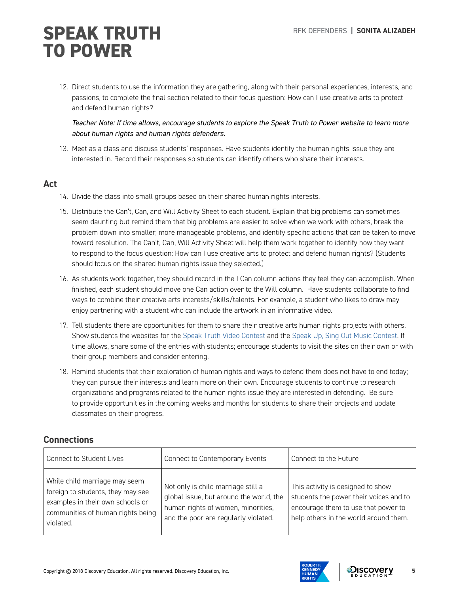12. Direct students to use the information they are gathering, along with their personal experiences, interests, and passions, to complete the final section related to their focus question: How can I use creative arts to protect and defend human rights?

*Teacher Note: If time allows, encourage students to explore the Speak Truth to Power website to learn more about human rights and human rights defenders.* 

13. Meet as a class and discuss students' responses. Have students identify the human rights issue they are interested in. Record their responses so students can identify others who share their interests.

#### **Act**

- 14. Divide the class into small groups based on their shared human rights interests.
- 15. Distribute the Can't, Can, and Will Activity Sheet to each student. Explain that big problems can sometimes seem daunting but remind them that big problems are easier to solve when we work with others, break the problem down into smaller, more manageable problems, and identify specific actions that can be taken to move toward resolution. The Can't, Can, Will Activity Sheet will help them work together to identify how they want to respond to the focus question: How can I use creative arts to protect and defend human rights? (Students should focus on the shared human rights issue they selected.)
- 16. As students work together, they should record in the I Can column actions they feel they can accomplish. When finished, each student should move one Can action over to the Will column. Have students collaborate to find ways to combine their creative arts interests/skills/talents. For example, a student who likes to draw may enjoy partnering with a student who can include the artwork in an informative video.
- 17. Tell students there are opportunities for them to share their creative arts human rights projects with others. Show students the websites for the [Speak Truth Video Contest](http://www.speaktruthvideo.com) and the [Speak Up, Sing Out Music Contest.](http://www.speakupsingout.org) If time allows, share some of the entries with students; encourage students to visit the sites on their own or with their group members and consider entering.
- 18. Remind students that their exploration of human rights and ways to defend them does not have to end today; they can pursue their interests and learn more on their own. Encourage students to continue to research organizations and programs related to the human rights issue they are interested in defending. Be sure to provide opportunities in the coming weeks and months for students to share their projects and update classmates on their progress.

### **Connections**

| Connect to Student Lives                                                                                                                                 | Connect to Contemporary Events                                                                                                                              | Connect to the Future                                                                                                                                       |
|----------------------------------------------------------------------------------------------------------------------------------------------------------|-------------------------------------------------------------------------------------------------------------------------------------------------------------|-------------------------------------------------------------------------------------------------------------------------------------------------------------|
| While child marriage may seem<br>foreign to students, they may see<br>examples in their own schools or<br>communities of human rights being<br>violated. | Not only is child marriage still a<br>global issue, but around the world, the<br>human rights of women, minorities,<br>and the poor are regularly violated. | This activity is designed to show<br>students the power their voices and to<br>encourage them to use that power to<br>help others in the world around them. |



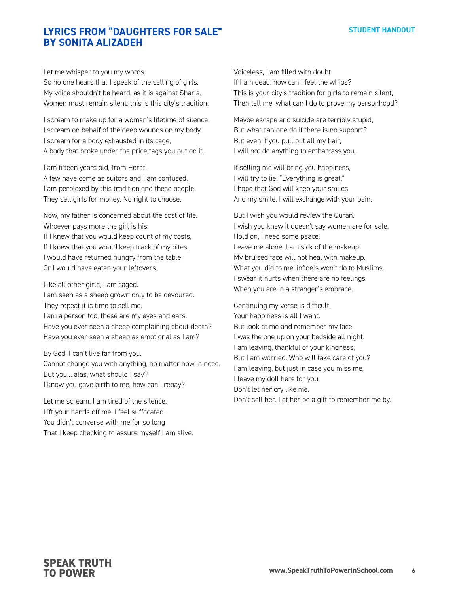### **LYRICS FROM "DAUGHTERS FOR SALE" BY SONITA ALIZADEH**

Let me whisper to you my words

So no one hears that I speak of the selling of girls. My voice shouldn't be heard, as it is against Sharia. Women must remain silent: this is this city's tradition.

I scream to make up for a woman's lifetime of silence. I scream on behalf of the deep wounds on my body. I scream for a body exhausted in its cage, A body that broke under the price tags you put on it.

I am fifteen years old, from Herat. A few have come as suitors and I am confused. I am perplexed by this tradition and these people. They sell girls for money. No right to choose.

Now, my father is concerned about the cost of life. Whoever pays more the girl is his. If I knew that you would keep count of my costs, If I knew that you would keep track of my bites, I would have returned hungry from the table Or I would have eaten your leftovers.

Like all other girls, I am caged.

I am seen as a sheep grown only to be devoured. They repeat it is time to sell me. I am a person too, these are my eyes and ears. Have you ever seen a sheep complaining about death? Have you ever seen a sheep as emotional as I am?

By God, I can't live far from you. Cannot change you with anything, no matter how in need. But you… alas, what should I say? I know you gave birth to me, how can I repay?

Let me scream. I am tired of the silence. Lift your hands off me. I feel suffocated. You didn't converse with me for so long That I keep checking to assure myself I am alive. Voiceless, I am filled with doubt. If I am dead, how can I feel the whips? This is your city's tradition for girls to remain silent, Then tell me, what can I do to prove my personhood?

Maybe escape and suicide are terribly stupid, But what can one do if there is no support? But even if you pull out all my hair, I will not do anything to embarrass you.

If selling me will bring you happiness, I will try to lie: "Everything is great." I hope that God will keep your smiles And my smile, I will exchange with your pain.

But I wish you would review the Quran. I wish you knew it doesn't say women are for sale. Hold on, I need some peace. Leave me alone, I am sick of the makeup. My bruised face will not heal with makeup. What you did to me, infidels won't do to Muslims. I swear it hurts when there are no feelings, When you are in a stranger's embrace.

Continuing my verse is difficult. Your happiness is all I want. But look at me and remember my face. I was the one up on your bedside all night. I am leaving, thankful of your kindness, But I am worried. Who will take care of you? I am leaving, but just in case you miss me, I leave my doll here for you. Don't let her cry like me. Don't sell her. Let her be a gift to remember me by.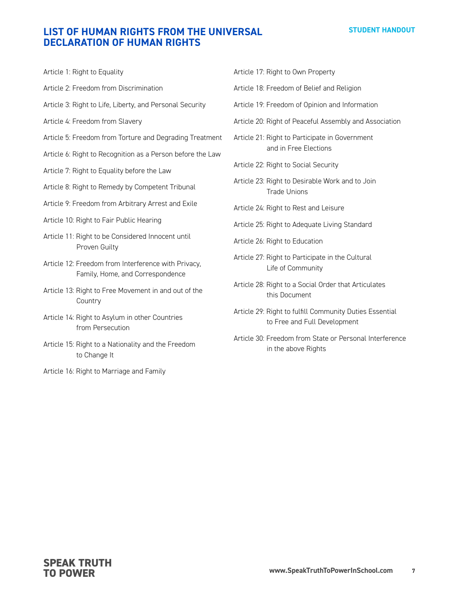#### **STUDENT HANDOUT**

## **LIST OF HUMAN RIGHTS FROM THE UNIVERSAL DECLARATION OF HUMAN RIGHTS**

| Article 1: Right to Equality                                                            |
|-----------------------------------------------------------------------------------------|
| Article 2: Freedom from Discrimination                                                  |
| Article 3: Right to Life, Liberty, and Personal Security                                |
| Article 4: Freedom from Slavery                                                         |
| Article 5: Freedom from Torture and Degrading Treatment                                 |
| Article 6: Right to Recognition as a Person before the Law                              |
| Article 7: Right to Equality before the Law                                             |
| Article 8: Right to Remedy by Competent Tribunal                                        |
| Article 9: Freedom from Arbitrary Arrest and Exile                                      |
| Article 10: Right to Fair Public Hearing                                                |
| Article 11: Right to be Considered Innocent until<br>Proven Guilty                      |
| Article 12: Freedom from Interference with Privacy,<br>Family, Home, and Correspondence |
| Article 13: Right to Free Movement in and out of the<br>Country                         |
| Article 14: Right to Asylum in other Countries<br>from Persecution                      |
| Article 15: Right to a Nationality and the Freedom<br>to Change It                      |

Article 16: Right to Marriage and Family

|  |  |  |  |  | Article 17: Right to Own Property |
|--|--|--|--|--|-----------------------------------|
|--|--|--|--|--|-----------------------------------|

Article 18: Freedom of Belief and Religion

- Article 19: Freedom of Opinion and Information
- Article 20: Right of Peaceful Assembly and Association

Article 21: Right to Participate in Government and in Free Elections

- Article 22: Right to Social Security
- Article 23: Right to Desirable Work and to Join Trade Unions
- Article 24: Right to Rest and Leisure
- Article 25: Right to Adequate Living Standard
- Article 26: Right to Education
- Article 27: Right to Participate in the Cultural Life of Community
- Article 28: Right to a Social Order that Articulates this Document
- Article 29: Right to fulfill Community Duties Essential to Free and Full Development
- Article 30: Freedom from State or Personal Interference in the above Rights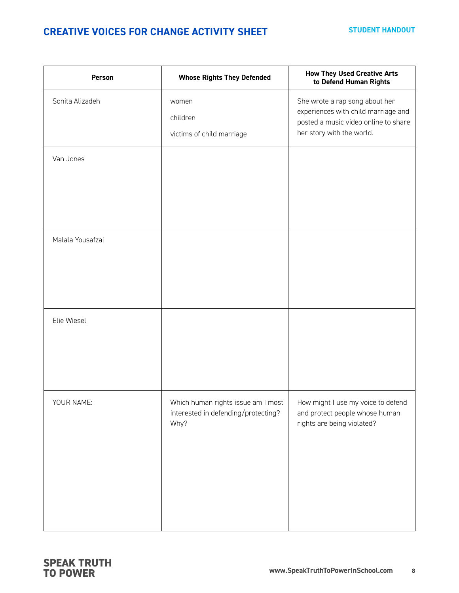## **CREATIVE VOICES FOR CHANGE ACTIVITY SHEET**

| Person           | <b>Whose Rights They Defended</b>                                                 | <b>How They Used Creative Arts</b><br>to Defend Human Rights                                                                               |
|------------------|-----------------------------------------------------------------------------------|--------------------------------------------------------------------------------------------------------------------------------------------|
| Sonita Alizadeh  | women<br>children<br>victims of child marriage                                    | She wrote a rap song about her<br>experiences with child marriage and<br>posted a music video online to share<br>her story with the world. |
| Van Jones        |                                                                                   |                                                                                                                                            |
| Malala Yousafzai |                                                                                   |                                                                                                                                            |
| Elie Wiesel      |                                                                                   |                                                                                                                                            |
| YOUR NAME:       | Which human rights issue am I most<br>interested in defending/protecting?<br>Why? | How might I use my voice to defend<br>and protect people whose human<br>rights are being violated?                                         |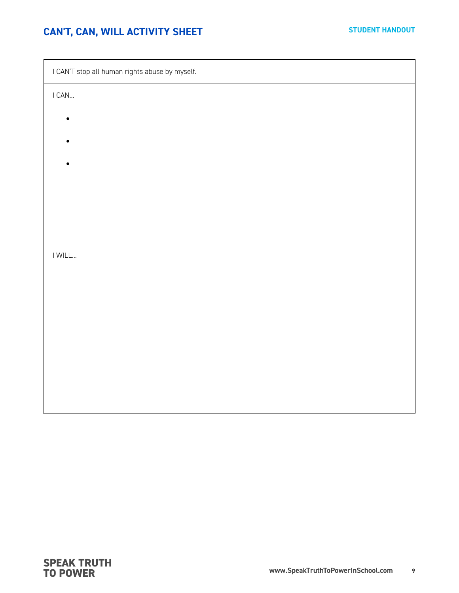## **CAN'T, CAN, WILL ACTIVITY SHEET**

| I CAN'T stop all human rights abuse by myself. |  |  |  |  |
|------------------------------------------------|--|--|--|--|
| $\mathsf{I}$ CAN                               |  |  |  |  |
| $\bullet$                                      |  |  |  |  |
|                                                |  |  |  |  |
|                                                |  |  |  |  |
|                                                |  |  |  |  |
|                                                |  |  |  |  |
|                                                |  |  |  |  |
| $\ensuremath{\mathsf{I}}$ WILL                 |  |  |  |  |
|                                                |  |  |  |  |
|                                                |  |  |  |  |
|                                                |  |  |  |  |
|                                                |  |  |  |  |
|                                                |  |  |  |  |
|                                                |  |  |  |  |
|                                                |  |  |  |  |